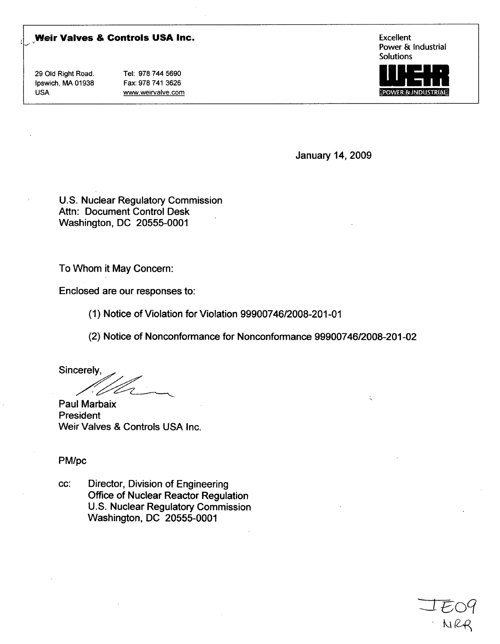## **Weir Valves & Controls USA Inc.** Excellent Excellent

29 Old Right Road. Tel: 978 744 5690 Ipswich, MA 01938 Fax: 978 741 3626 USA www.weirvalve.com

Power & Industrial Solutions



NRR

January 14, 2009

U.S. Nuclear Regulatory Commission Attn: Document Control Desk Washington, DC 20555-0001

To Whom it May Concern:

Enclosed are our responses to:

(1) Notice of Violation for Violation 99900746/2008-201-01

(2) Notice of Nonconformance for Nonconformance 99900746/2008-201-02

Sincerely, D t

Paul Marbaix President Weir Valves & Controls USA Inc.

PM/pc

cc: Director, Division of Engineering Office of Nuclear Reactor Regulation U.S. Nuclear Regulatory Commission Washington, DC 20555-0001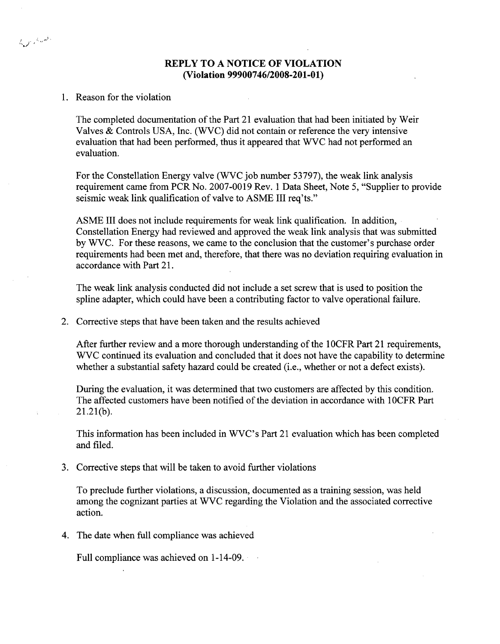## REPLY TO **A NOTICE** OF **VIOLATION** (Violation **99900746/2008-201-01)**

## 1. Reason for the violation

وفعاناهم ولايكم

The completed documentation of the Part 21 evaluation that had been initiated by Weir Valves & Controls USA, Inc. (WVC) did not contain or reference the very intensive evaluation that had been performed, thus it appeared that WVC had not performed an evaluation.

For the Constellation Energy valve (WVC job number 53797), the weak link analysis requirement came from PCR No. 2007-0019 Rev. 1 Data Sheet, Note 5, "Supplier to provide seismic weak link qualification of valve to ASME III req'ts."

ASME III does not include requirements for weak link qualification. In addition, Constellation Energy had reviewed and approved the weak link analysis that was submitted by WVC. For these reasons, we came to the conclusion that the customer's purchase order requirements had been met and, therefore, that there was no deviation requiring evaluation in accordance with Part 21.

The weak link analysis conducted did not include a set screw that is used to position the spline adapter, which could have been a contributing factor to valve operational failure.

2. Corrective steps that have been taken and the results achieved

After further review and a more thorough understanding of the 1 OCFR Part 21 requirements, WVC continued its evaluation and concluded that it does not have the capability to determine whether a substantial safety hazard could be created (i.e., whether or not a defect exists).

During the evaluation, it was determined that two customers are affected by this condition. The affected customers have been notified of the deviation in accordance with 1 OCFR Part 21.21(b).

This information has been included in WVC's Part 21 evaluation which has been completed and filed.

3. Corrective steps that will be taken to avoid further violations

To preclude further violations, a discussion, documented as a training session, was held among the cognizant parties at WVC regarding the Violation and the associated corrective action.

4. The date when full compliance was achieved

Full compliance was achieved on 1-14-09.